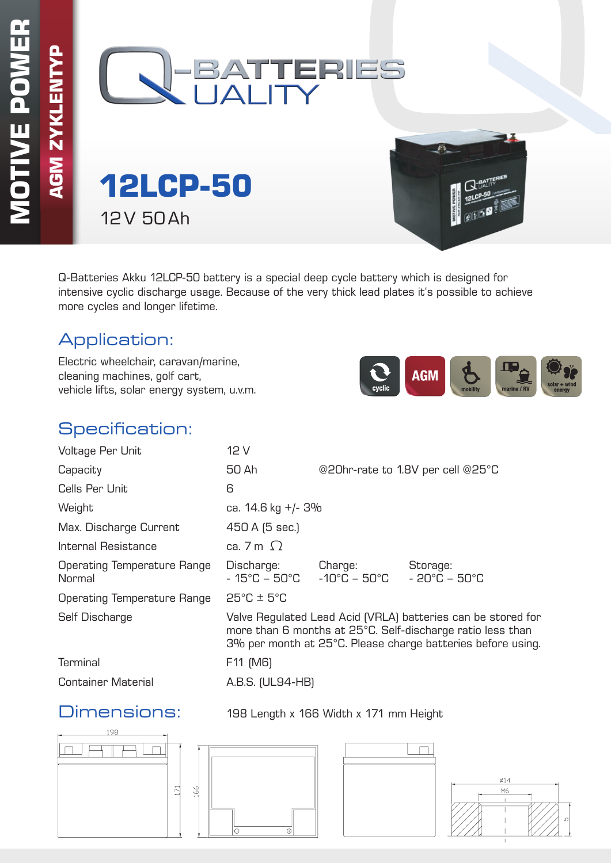

**12LCP-50** 12V 50Ah

Q-Batteries Akku 12LCP-50 battery is a special deep cycle battery which is designed for intensive cyclic discharge usage. Because of the very thick lead plates it's possible to achieve more cycles and longer lifetime.

### Application:

Electric wheelchair, caravan/marine, cleaning machines, golf cart, vehicle lifts, solar energy system, u.v.m.



### Specification:

| Voltage Per Unit                             | 12 V                                                                                                                                                                                      |                                                                                  |                                               |  |  |  |
|----------------------------------------------|-------------------------------------------------------------------------------------------------------------------------------------------------------------------------------------------|----------------------------------------------------------------------------------|-----------------------------------------------|--|--|--|
| Capacity                                     | 50 Ah                                                                                                                                                                                     | @20hr-rate to 1.8V per cell @25°C                                                |                                               |  |  |  |
| Cells Per Unit                               | 6                                                                                                                                                                                         |                                                                                  |                                               |  |  |  |
| Weight                                       | ca. 14.6 kg +/- 3%                                                                                                                                                                        |                                                                                  |                                               |  |  |  |
| Max. Discharge Current                       | 450 A (5 sec.)                                                                                                                                                                            |                                                                                  |                                               |  |  |  |
| Internal Resistance                          | ca. 7 m $\Omega$                                                                                                                                                                          |                                                                                  |                                               |  |  |  |
| <b>Operating Temperature Range</b><br>Normal | Discharge:                                                                                                                                                                                | Charge:<br>$-15^{\circ}$ C – 50 $^{\circ}$ C $-10^{\circ}$ C – 50 $^{\circ}$ C – | Storage:<br>$-20^{\circ}$ C – 50 $^{\circ}$ C |  |  |  |
| <b>Operating Temperature Range</b>           | $25^{\circ}$ C ± $5^{\circ}$ C                                                                                                                                                            |                                                                                  |                                               |  |  |  |
| Self Discharge                               | Valve Regulated Lead Acid (VRLA) batteries can be stored for<br>more than 6 months at 25°C. Self-discharge ratio less than<br>3% per month at 25°C. Please charge batteries before using. |                                                                                  |                                               |  |  |  |
| <b>Terminal</b>                              | F11 (M6)                                                                                                                                                                                  |                                                                                  |                                               |  |  |  |
| <b>Container Material</b>                    | A.B.S. (UL94-HB)                                                                                                                                                                          |                                                                                  |                                               |  |  |  |
|                                              |                                                                                                                                                                                           |                                                                                  |                                               |  |  |  |

### Dimensions: 198 Length x 166 Width x 171 mm Height

198  $\Box$  $171$